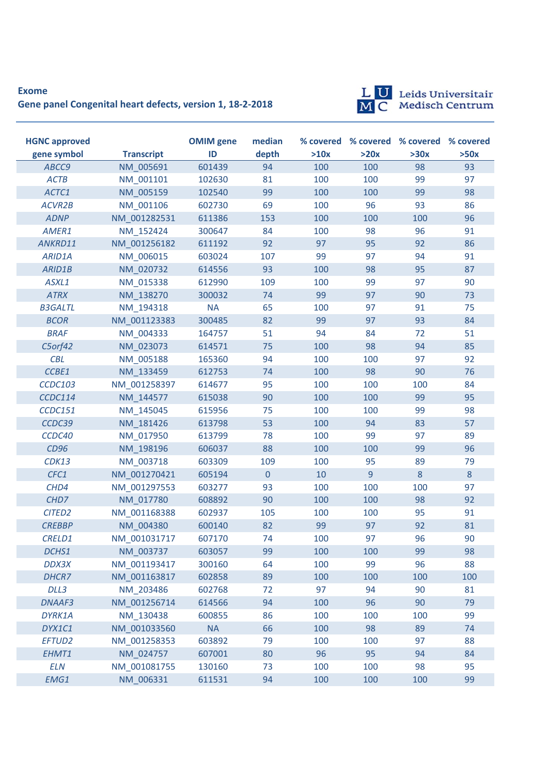## **Exome Gene panel Congenital heart defects, version 1, 18-2-2018**



| <b>HGNC approved</b> |                   | <b>OMIM</b> gene | median         |      |                | % covered % covered % covered % covered |      |
|----------------------|-------------------|------------------|----------------|------|----------------|-----------------------------------------|------|
| gene symbol          | <b>Transcript</b> | ID               | depth          | >10x | >20x           | >30x                                    | >50x |
| ABCC9                | NM 005691         | 601439           | 94             | 100  | 100            | 98                                      | 93   |
| ACTB                 | NM 001101         | 102630           | 81             | 100  | 100            | 99                                      | 97   |
| ACTC1                | NM 005159         | 102540           | 99             | 100  | 100            | 99                                      | 98   |
| ACVR2B               | NM 001106         | 602730           | 69             | 100  | 96             | 93                                      | 86   |
| <b>ADNP</b>          | NM 001282531      | 611386           | 153            | 100  | 100            | 100                                     | 96   |
| AMER1                | NM 152424         | 300647           | 84             | 100  | 98             | 96                                      | 91   |
| ANKRD11              | NM 001256182      | 611192           | 92             | 97   | 95             | 92                                      | 86   |
| ARID1A               | NM 006015         | 603024           | 107            | 99   | 97             | 94                                      | 91   |
| ARID1B               | NM 020732         | 614556           | 93             | 100  | 98             | 95                                      | 87   |
| ASXL1                | NM 015338         | 612990           | 109            | 100  | 99             | 97                                      | 90   |
| <b>ATRX</b>          | NM 138270         | 300032           | 74             | 99   | 97             | 90                                      | 73   |
| <b>B3GALTL</b>       | NM 194318         | <b>NA</b>        | 65             | 100  | 97             | 91                                      | 75   |
| <b>BCOR</b>          | NM_001123383      | 300485           | 82             | 99   | 97             | 93                                      | 84   |
| <b>BRAF</b>          | NM 004333         | 164757           | 51             | 94   | 84             | 72                                      | 51   |
| C5orf42              | NM 023073         | 614571           | 75             | 100  | 98             | 94                                      | 85   |
| <b>CBL</b>           | NM 005188         | 165360           | 94             | 100  | 100            | 97                                      | 92   |
| CCBE1                | NM 133459         | 612753           | 74             | 100  | 98             | 90                                      | 76   |
| <b>CCDC103</b>       | NM 001258397      | 614677           | 95             | 100  | 100            | 100                                     | 84   |
| CCDC114              | NM_144577         | 615038           | 90             | 100  | 100            | 99                                      | 95   |
| CCDC151              | NM 145045         | 615956           | 75             | 100  | 100            | 99                                      | 98   |
| CCDC39               | NM 181426         | 613798           | 53             | 100  | 94             | 83                                      | 57   |
| CCDC40               | NM 017950         | 613799           | 78             | 100  | 99             | 97                                      | 89   |
| CD96                 | NM 198196         | 606037           | 88             | 100  | 100            | 99                                      | 96   |
| CDK13                | NM 003718         | 603309           | 109            | 100  | 95             | 89                                      | 79   |
| CFC1                 | NM 001270421      | 605194           | $\overline{0}$ | 10   | $\overline{9}$ | $8\phantom{1}$                          | 8    |
| CHD4                 | NM 001297553      | 603277           | 93             | 100  | 100            | 100                                     | 97   |
| CHD7                 | NM 017780         | 608892           | 90             | 100  | 100            | 98                                      | 92   |
| CITED <sub>2</sub>   | NM_001168388      | 602937           | 105            | 100  | 100            | 95                                      | 91   |
| <b>CREBBP</b>        | NM 004380         | 600140           | 82             | 99   | 97             | 92                                      | 81   |
| <b>CRELD1</b>        | NM 001031717      | 607170           | 74             | 100  | 97             | 96                                      | 90   |
| DCHS1                | NM 003737         | 603057           | 99             | 100  | 100            | 99                                      | 98   |
| DDX3X                | NM 001193417      | 300160           | 64             | 100  | 99             | 96                                      | 88   |
| DHCR7                | NM 001163817      | 602858           | 89             | 100  | 100            | 100                                     | 100  |
| DLL3                 | NM_203486         | 602768           | 72             | 97   | 94             | 90                                      | 81   |
| <b>DNAAF3</b>        | NM 001256714      | 614566           | 94             | 100  | 96             | 90                                      | 79   |
| DYRK1A               | NM_130438         | 600855           | 86             | 100  | 100            | 100                                     | 99   |
| DYX1C1               | NM 001033560      | <b>NA</b>        | 66             | 100  | 98             | 89                                      | 74   |
| EFTUD <sub>2</sub>   | NM_001258353      | 603892           | 79             | 100  | 100            | 97                                      | 88   |
| EHMT1                | NM_024757         | 607001           | 80             | 96   | 95             | 94                                      | 84   |
| <b>ELN</b>           | NM_001081755      | 130160           | 73             | 100  | 100            | 98                                      | 95   |
| EMG1                 | NM 006331         | 611531           | 94             | 100  | 100            | 100                                     | 99   |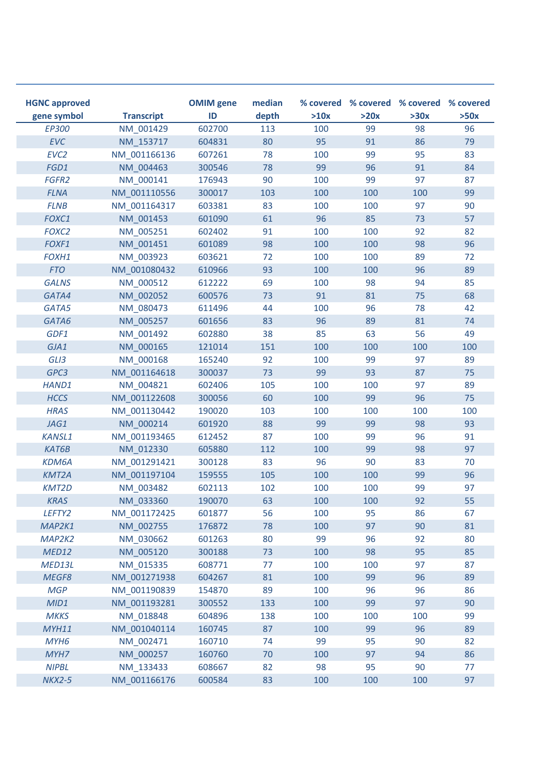| <b>HGNC approved</b><br>gene symbol | <b>Transcript</b> | <b>OMIM</b> gene<br>ID | median<br>depth | >10x | >20x | % covered % covered % covered % covered<br>>30x | >50x |
|-------------------------------------|-------------------|------------------------|-----------------|------|------|-------------------------------------------------|------|
| EP300                               | NM 001429         | 602700                 | 113             | 100  | 99   | 98                                              | 96   |
| <b>EVC</b>                          | NM 153717         | 604831                 | 80              | 95   | 91   | 86                                              | 79   |
| EVC <sub>2</sub>                    | NM 001166136      | 607261                 | 78              | 100  | 99   | 95                                              | 83   |
| FGD1                                | NM 004463         | 300546                 | 78              | 99   | 96   | 91                                              | 84   |
| FGFR2                               | NM 000141         | 176943                 | 90              | 100  | 99   | 97                                              | 87   |
| <b>FLNA</b>                         | NM 001110556      | 300017                 | 103             | 100  | 100  | 100                                             | 99   |
| <b>FLNB</b>                         | NM 001164317      | 603381                 | 83              | 100  | 100  | 97                                              | 90   |
| FOXC1                               | NM 001453         | 601090                 | 61              | 96   | 85   | 73                                              | 57   |
| FOXC <sub>2</sub>                   | NM 005251         | 602402                 | 91              | 100  | 100  | 92                                              | 82   |
| FOXF1                               | NM 001451         | 601089                 | 98              | 100  | 100  | 98                                              | 96   |
| <b>FOXH1</b>                        | NM 003923         | 603621                 | 72              | 100  | 100  | 89                                              | 72   |
| <b>FTO</b>                          | NM 001080432      | 610966                 | 93              | 100  | 100  | 96                                              | 89   |
| <b>GALNS</b>                        | NM 000512         | 612222                 | 69              | 100  | 98   | 94                                              | 85   |
| GATA4                               | NM 002052         | 600576                 | 73              | 91   | 81   | 75                                              | 68   |
| GATA5                               | NM 080473         | 611496                 | 44              | 100  | 96   | 78                                              | 42   |
| GATA6                               | NM 005257         | 601656                 | 83              | 96   | 89   | 81                                              | 74   |
| GDF1                                | NM 001492         | 602880                 | 38              | 85   | 63   | 56                                              | 49   |
| GJA1                                | NM 000165         | 121014                 | 151             | 100  | 100  | 100                                             | 100  |
| GLI3                                | NM 000168         | 165240                 | 92              | 100  | 99   | 97                                              | 89   |
| GPC3                                | NM 001164618      | 300037                 | 73              | 99   | 93   | 87                                              | 75   |
| HAND1                               | NM 004821         | 602406                 | 105             | 100  | 100  | 97                                              | 89   |
| <b>HCCS</b>                         | NM 001122608      | 300056                 | 60              | 100  | 99   | 96                                              | 75   |
| <b>HRAS</b>                         | NM 001130442      | 190020                 | 103             | 100  | 100  | 100                                             | 100  |
| JAG1                                | NM 000214         | 601920                 | 88              | 99   | 99   | 98                                              | 93   |
| <b>KANSL1</b>                       | NM 001193465      | 612452                 | 87              | 100  | 99   | 96                                              | 91   |
| <b>KAT6B</b>                        | NM 012330         | 605880                 | 112             | 100  | 99   | 98                                              | 97   |
| <b>KDM6A</b>                        | NM 001291421      | 300128                 | 83              | 96   | 90   | 83                                              | 70   |
| <b>KMT2A</b>                        | NM 001197104      | 159555                 | 105             | 100  | 100  | 99                                              | 96   |
| <b>KMT2D</b>                        | NM 003482         | 602113                 | 102             | 100  | 100  | 99                                              | 97   |
| <b>KRAS</b>                         | NM_033360         | 190070                 | 63              | 100  | 100  | 92                                              | 55   |
| LEFTY2                              | NM 001172425      | 601877                 | 56              | 100  | 95   | 86                                              | 67   |
| MAP2K1                              | NM_002755         | 176872                 | 78              | 100  | 97   | 90                                              | 81   |
| MAP2K2                              | NM 030662         | 601263                 | 80              | 99   | 96   | 92                                              | 80   |
| MED12                               | NM_005120         | 300188                 | 73              | 100  | 98   | 95                                              | 85   |
| MED13L                              | NM_015335         | 608771                 | 77              | 100  | 100  | 97                                              | 87   |
| MEGF8                               | NM 001271938      | 604267                 | 81              | 100  | 99   | 96                                              | 89   |
| <b>MGP</b>                          | NM_001190839      | 154870                 | 89              | 100  | 96   | 96                                              | 86   |
| MID1                                | NM 001193281      | 300552                 | 133             | 100  | 99   | 97                                              | 90   |
| <b>MKKS</b>                         | NM 018848         | 604896                 | 138             | 100  | 100  | 100                                             | 99   |
| <b>MYH11</b>                        | NM_001040114      | 160745                 | 87              | 100  | 99   | 96                                              | 89   |
| MYH <sub>6</sub>                    | NM_002471         | 160710                 | 74              | 99   | 95   | 90                                              | 82   |
| MYH7                                | NM_000257         | 160760                 | 70              | 100  | 97   | 94                                              | 86   |
| <b>NIPBL</b>                        | NM 133433         | 608667                 | 82              | 98   | 95   | 90                                              | 77   |
| <b>NKX2-5</b>                       | NM_001166176      | 600584                 | 83              | 100  | 100  | 100                                             | 97   |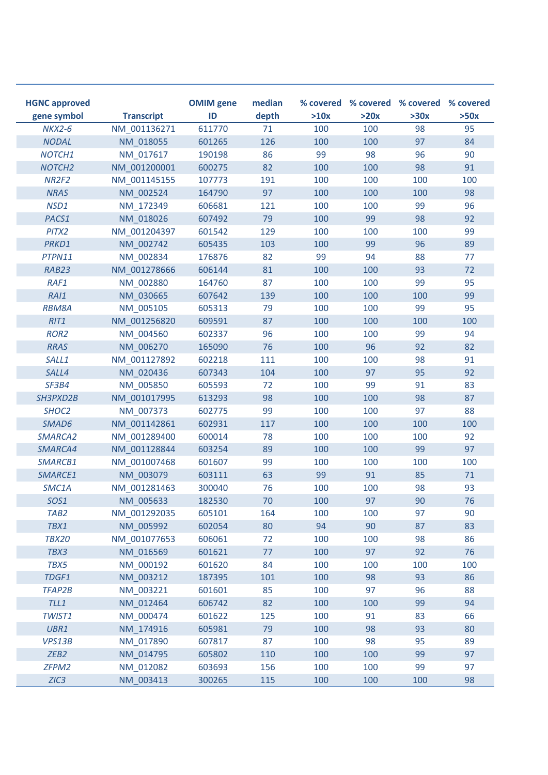| <b>HGNC approved</b><br>gene symbol | <b>Transcript</b> | <b>OMIM</b> gene<br>ID | median<br>depth | >10x | >20x | % covered % covered % covered % covered<br>>30x | >50x |
|-------------------------------------|-------------------|------------------------|-----------------|------|------|-------------------------------------------------|------|
| <b>NKX2-6</b>                       | NM 001136271      | 611770                 | 71              | 100  | 100  | 98                                              | 95   |
| <b>NODAL</b>                        | NM 018055         | 601265                 | 126             | 100  | 100  | 97                                              | 84   |
| NOTCH1                              | NM 017617         | 190198                 | 86              | 99   | 98   | 96                                              | 90   |
| NOTCH <sub>2</sub>                  | NM 001200001      | 600275                 | 82              | 100  | 100  | 98                                              | 91   |
| NR <sub>2F2</sub>                   | NM 001145155      | 107773                 | 191             | 100  | 100  | 100                                             | 100  |
| <b>NRAS</b>                         | NM 002524         | 164790                 | 97              | 100  | 100  | 100                                             | 98   |
| NSD1                                | NM 172349         | 606681                 | 121             | 100  | 100  | 99                                              | 96   |
| PACS1                               | NM 018026         | 607492                 | 79              | 100  | 99   | 98                                              | 92   |
| PITX2                               | NM 001204397      | 601542                 | 129             | 100  | 100  | 100                                             | 99   |
| PRKD1                               | NM 002742         | 605435                 | 103             | 100  | 99   | 96                                              | 89   |
| PTPN11                              | NM 002834         | 176876                 | 82              | 99   | 94   | 88                                              | 77   |
| RAB23                               | NM 001278666      | 606144                 | 81              | 100  | 100  | 93                                              | 72   |
| RAF1                                | NM 002880         | 164760                 | 87              | 100  | 100  | 99                                              | 95   |
| <b>RAI1</b>                         | NM 030665         | 607642                 | 139             | 100  | 100  | 100                                             | 99   |
| <b>RBM8A</b>                        | NM 005105         | 605313                 | 79              | 100  | 100  | 99                                              | 95   |
| RIT1                                | NM 001256820      | 609591                 | 87              | 100  | 100  | 100                                             | 100  |
| ROR <sub>2</sub>                    | NM 004560         | 602337                 | 96              | 100  | 100  | 99                                              | 94   |
| <b>RRAS</b>                         | NM 006270         | 165090                 | 76              | 100  | 96   | 92                                              | 82   |
| SALL1                               | NM 001127892      | 602218                 | 111             | 100  | 100  | 98                                              | 91   |
| SALL4                               | NM 020436         | 607343                 | 104             | 100  | 97   | 95                                              | 92   |
| SF3B4                               | NM 005850         | 605593                 | 72              | 100  | 99   | 91                                              | 83   |
| SH3PXD2B                            | NM 001017995      | 613293                 | 98              | 100  | 100  | 98                                              | 87   |
| SHOC <sub>2</sub>                   | NM 007373         | 602775                 | 99              | 100  | 100  | 97                                              | 88   |
| SMAD6                               | NM 001142861      | 602931                 | 117             | 100  | 100  | 100                                             | 100  |
| SMARCA2                             | NM 001289400      | 600014                 | 78              | 100  | 100  | 100                                             | 92   |
| SMARCA4                             | NM 001128844      | 603254                 | 89              | 100  | 100  | 99                                              | 97   |
| SMARCB1                             | NM 001007468      | 601607                 | 99              | 100  | 100  | 100                                             | 100  |
| SMARCE1                             | NM 003079         | 603111                 | 63              | 99   | 91   | 85                                              | 71   |
| SMC1A                               | NM 001281463      | 300040                 | 76              | 100  | 100  | 98                                              | 93   |
| SOS <sub>1</sub>                    | NM 005633         | 182530                 | 70              | 100  | 97   | 90                                              | 76   |
| TAB <sub>2</sub>                    | NM_001292035      | 605101                 | 164             | 100  | 100  | 97                                              | 90   |
| TBX1                                | NM_005992         | 602054                 | 80              | 94   | 90   | 87                                              | 83   |
| <b>TBX20</b>                        | NM_001077653      | 606061                 | 72              | 100  | 100  | 98                                              | 86   |
| TBX3                                | NM_016569         | 601621                 | 77              | 100  | 97   | 92                                              | 76   |
| TBX5                                | NM_000192         | 601620                 | 84              | 100  | 100  | 100                                             | 100  |
| TDGF1                               | NM_003212         | 187395                 | 101             | 100  | 98   | 93                                              | 86   |
| TFAP2B                              | NM_003221         | 601601                 | 85              | 100  | 97   | 96                                              | 88   |
| TLL1                                | NM 012464         | 606742                 | 82              | 100  | 100  | 99                                              | 94   |
| TWIST1                              | NM_000474         | 601622                 | 125             | 100  | 91   | 83                                              | 66   |
| UBR1                                | NM_174916         | 605981                 | 79              | 100  | 98   | 93                                              | 80   |
| VPS13B                              | NM_017890         | 607817                 | 87              | 100  | 98   | 95                                              | 89   |
| ZEB <sub>2</sub>                    | NM_014795         | 605802                 | 110             | 100  | 100  | 99                                              | 97   |
| ZFPM2                               | NM_012082         | 603693                 | 156             | 100  | 100  | 99                                              | 97   |
| ZIC3                                | NM_003413         | 300265                 | 115             | 100  | 100  | 100                                             | 98   |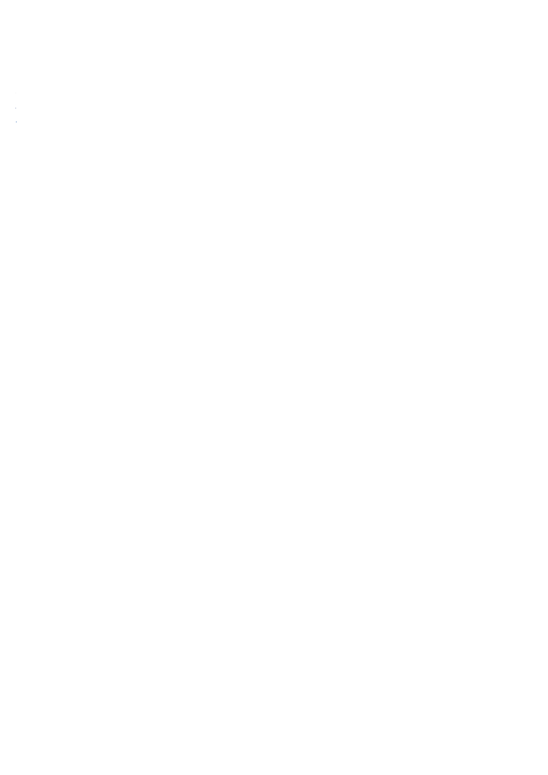$\label{eq:2.1} \frac{1}{\sqrt{2}}\sum_{i=1}^N\frac{1}{\sqrt{2}}\left(\frac{1}{\sqrt{2}}\right)^2.$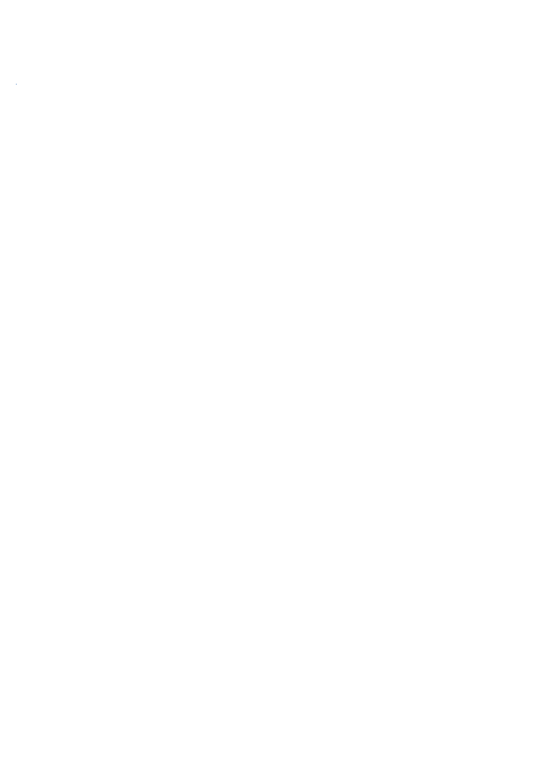$\mathcal{O}(\mathcal{O}(\log n))$